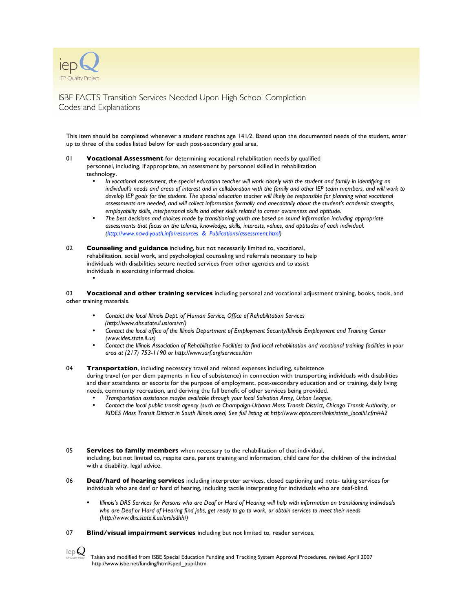

•

ISBE FACTS Transition Services Needed Upon High School Completion Codes and Explanations

This item should be completed whenever a student reaches age 141⁄2. Based upon the documented needs of the student, enter up to three of the codes listed below for each post-secondary goal area.

- 01 **Vocational Assessment** for determining vocational rehabilitation needs by qualified personnel, including, if appropriate, an assessment by personnel skilled in rehabilitation technology.
	- In vocational assessment, the special education teacher will work closely with the student and family in identifying an individual's needs and areas of interest and in collaboration with the family and other IEP team members, and will work to develop IEP goals for the student. The special education teacher will likely be responsible for planning what vocational *assessments are needed, and will collect information formally and anecdotally about the student's academic strengths, employability skills, interpersonal skills and other skills related to career awareness and aptitude.*
	- The best decisions and choices made by transitioning youth are based on sound information including appropriate *assessments that focus on the talents, knowledge, skills, interests, values, and aptitudes of each individual. (http://www.ncwd-youth.info/resources\_&\_Publications/assessment.html)*
- 02 **Counseling and guidance** including, but not necessarily limited to, vocational, rehabilitation, social work, and psychological counseling and referrals necessary to help individuals with disabilities secure needed services from other agencies and to assist individuals in exercising informed choice.

03 **Vocational and other training services** including personal and vocational adjustment training, books, tools, and other training materials.

- *Contact the local Illinois Dept. of Human Service, Office of Rehabilitation Services (http://www.dhs.state.il.us/ors/vr/)*
- *Contact the local office of the Illinois Department of Employment Security/Illinois Employment and Training Center (www.ides.state.il.us)*
- Contact the Illinois Association of Rehabilitation Facilities to find local rehabilitation and vocational training facilities in your *area at (217) 753-1190 or http://www.iarf.org/services.htm*

04 **Transportation**, including necessary travel and related expenses including, subsistence during travel (or per diem payments in lieu of subsistence) in connection with transporting individuals with disabilities and their attendants or escorts for the purpose of employment, post-secondary education and or training, daily living

- needs, community recreation, and deriving the full benefit of other services being provided. • *Transportation assistance maybe available through your local Salvation Army, Urban League,*
	- Contact the local public transit agency (such as Champaign-Urbana Mass Transit District, Chicago Transit Authority, or *RIDES Mass Transit District in South Illinois area) See full listing at http://www.apta.com/links/state\_local/il.cfm#A2*
- 05 **Services to family members** when necessary to the rehabilitation of that individual, including, but not limited to, respite care, parent training and information, child care for the children of the individual with a disability, legal advice.
- 06 **Deaf/hard of hearing services** including interpreter services, closed captioning and note- taking services for individuals who are deaf or hard of hearing, including tactile interpreting for individuals who are deaf-blind.
	- Illinois's DRS Services for Persons who are Deaf or Hard of Hearing will help with information on transitioning individuals who are Deaf or Hard of Hearing find jobs, get ready to go to work, or obtain services to meet their needs *(http://www.dhs.state.il.us/ors/sdhh/)*
- 07 **Blind/visual impairment services** including but not limited to, reader services,
- iep $\bm{\bigcup}$ Taken and modified from ISBE Special Education Funding and Tracking System Approval Procedures, revised April 2007 http://www.isbe.net/funding/html/sped\_pupil.htm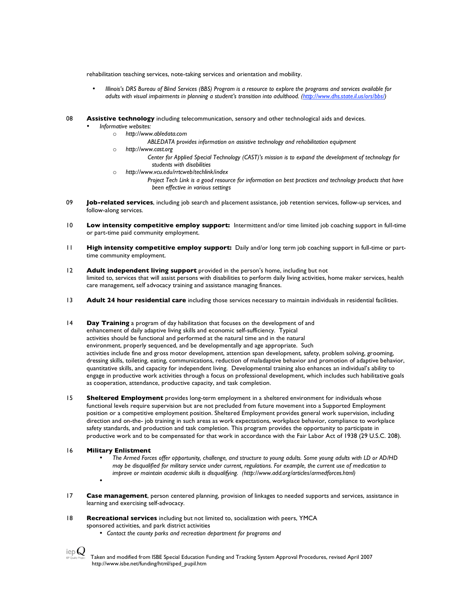rehabilitation teaching services, note-taking services and orientation and mobility.

- Illinois's DRS Bureau of Blind Services (BBS) Program is a resource to explore the programs and services available for *adults with visual impairments in planning a student's transition into adulthood. (http://www.dhs.state.il.us/ors/bbs/)*
- 08 **Assistive technology** including telecommunication, sensory and other technological aids and devices.
	- *Informative websites:*
		- o *http://www.abledata.com*
			- *ABLEDATA provides information on assistive technology and rehabilitation equipment*
		- o *http://www.cast.org*
			- *Center for Applied Special Technology (CAST)'s mission is to expand the development of technology for students with disabilities*
		- o *http://www.vcu.edu/rrtcweb/techlink/index*
			- *Project Tech Link is a good resource for information on best practices and technology products that have been effective in various settings*
- 09 **Job-related services**, including job search and placement assistance, job retention services, follow-up services, and follow-along services.
- 10 **Low intensity competitive employ support:** Intermittent and/or time limited job coaching support in full-time or part-time paid community employment.
- 11 **High intensity competitive employ support:** Daily and/or long term job coaching support in full-time or parttime community employment.
- 12 **Adult independent living support** provided in the person's home, including but not limited to, services that will assist persons with disabilities to perform daily living activities, home maker services, health care management, self advocacy training and assistance managing finances.
- 13 **Adult 24 hour residential care** including those services necessary to maintain individuals in residential facilities.
- 14 **Day Training** a program of day habilitation that focuses on the development of and enhancement of daily adaptive living skills and economic self-sufficiency. Typical activities should be functional and performed at the natural time and in the natural environment, properly sequenced, and be developmentally and age appropriate. Such activities include fine and gross motor development, attention span development, safety, problem solving, grooming, dressing skills, toileting, eating, communications, reduction of maladaptive behavior and promotion of adaptive behavior, quantitative skills, and capacity for independent living. Developmental training also enhances an individual's ability to engage in productive work activities through a focus on professional development, which includes such habilitative goals as cooperation, attendance, productive capacity, and task completion.
- 15 **Sheltered Employment** provides long-term employment in a sheltered environment for individuals whose functional levels require supervision but are not precluded from future movement into a Supported Employment position or a competitive employment position. Sheltered Employment provides general work supervision, including direction and on-the- job training in such areas as work expectations, workplace behavior, compliance to workplace safety standards, and production and task completion. This program provides the opportunity to participate in productive work and to be compensated for that work in accordance with the Fair Labor Act of 1938 (29 U.S.C. 208).
- 16 **Military Enlistment**
	- The Armed Forces offer opportunity, challenge, and structure to young adults. Some young adults with LD or AD/HD may be disqualified for military service under current, regulations. For example, the current use of medication to *improve or maintain academic skills is disqualifying. (http://www.add.org/articles/armedforces.html)*
	- •
- 17 **Case management**, person centered planning, provision of linkages to needed supports and services, assistance in learning and exercising self-advocacy.
- 18 **Recreational services** including but not limited to, socialization with peers, YMCA sponsored activities, and park district activities
	- *Contact the county parks and recreation department for programs and*



Taken and modified from ISBE Special Education Funding and Tracking System Approval Procedures, revised April 2007 http://www.isbe.net/funding/html/sped\_pupil.htm